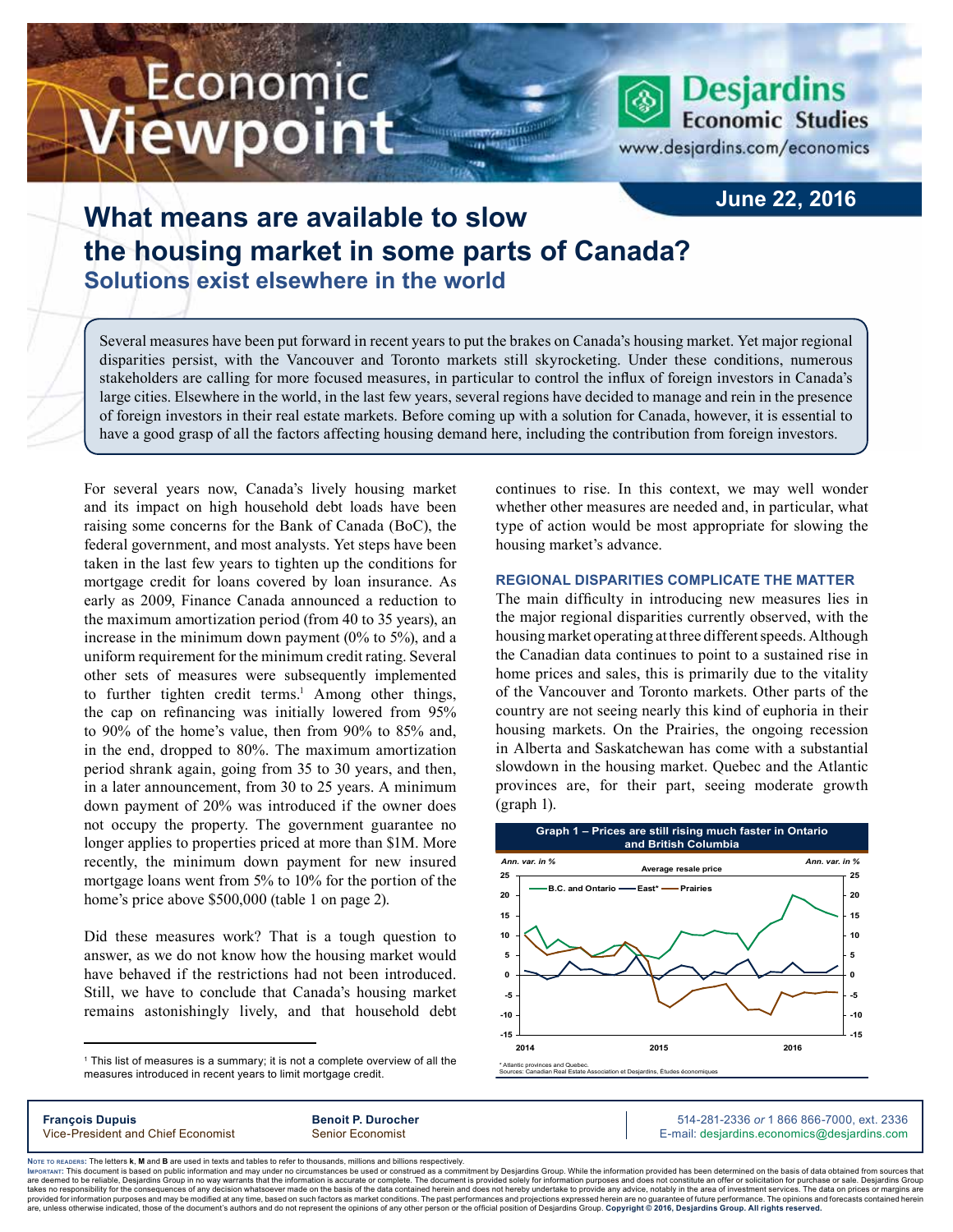# Economic *l*iewpoint

**Desjardins Economic Studies** 

www.desjardins.com/economics

### **June 22, 2016**

## **What means are available to slow the housing market in some parts of Canada? Solutions exist elsewhere in the world**

Several measures have been put forward in recent years to put the brakes on Canada's housing market. Yet major regional disparities persist, with the Vancouver and Toronto markets still skyrocketing. Under these conditions, numerous stakeholders are calling for more focused measures, in particular to control the influx of foreign investors in Canada's large cities. Elsewhere in the world, in the last few years, several regions have decided to manage and rein in the presence of foreign investors in their real estate markets. Before coming up with a solution for Canada, however, it is essential to have a good grasp of all the factors affecting housing demand here, including the contribution from foreign investors.

m

For several years now, Canada's lively housing market and its impact on high household debt loads have been raising some concerns for the Bank of Canada (BoC), the federal government, and most analysts. Yet steps have been taken in the last few years to tighten up the conditions for mortgage credit for loans covered by loan insurance. As early as 2009, Finance Canada announced a reduction to the maximum amortization period (from 40 to 35 years), an increase in the minimum down payment (0% to 5%), and a uniform requirement for the minimum credit rating. Several other sets of measures were subsequently implemented to further tighten credit terms.<sup>1</sup> Among other things, the cap on refinancing was initially lowered from 95% to 90% of the home's value, then from 90% to 85% and, in the end, dropped to 80%. The maximum amortization period shrank again, going from 35 to 30 years, and then, in a later announcement, from 30 to 25 years. A minimum down payment of 20% was introduced if the owner does not occupy the property. The government guarantee no longer applies to properties priced at more than \$1M. More recently, the minimum down payment for new insured mortgage loans went from 5% to 10% for the portion of the home's price above \$500,000 (table 1 on page 2).

Did these measures work? That is a tough question to answer, as we do not know how the housing market would have behaved if the restrictions had not been introduced. Still, we have to conclude that Canada's housing market remains astonishingly lively, and that household debt

1 This list of measures is a summary; it is not a complete overview of all the measures introduced in recent years to limit mortgage credit.

continues to rise. In this context, we may well wonder whether other measures are needed and, in particular, what type of action would be most appropriate for slowing the housing market's advance.

#### **Regional disparities complicate the matter**

The main difficulty in introducing new measures lies in the major regional disparities currently observed, with the housing market operating at three different speeds. Although the Canadian data continues to point to a sustained rise in home prices and sales, this is primarily due to the vitality of the Vancouver and Toronto markets. Other parts of the country are not seeing nearly this kind of euphoria in their housing markets. On the Prairies, the ongoing recession in Alberta and Saskatchewan has come with a substantial slowdown in the housing market. Quebec and the Atlantic provinces are, for their part, seeing moderate growth (graph 1).



**François Dupuis Benoit P. Durocher** 514-281-2336 *or* 1 866 866-7000, ext. 2336

Vice-President and Chief Economist Senior Economist Senior Economist E-mail: desjardins.economics@desjardins.com

Noте то келоекs: The letters **k, M** and **B** are used in texts and tables to refer to thousands, millions and billions respectively.<br>Імроктлит: This document is based on public information and may under no circumstances be are deemed to be reliable. Desiardins Group in no way warrants that the information is accurate or complete. The document is provided solely for information purposes and does not constitute an offer or solicitation for pur takes no responsibility for the consequences of any decision whatsoever made on the basis of the data contained herein and does not hereby undertake to provide any advice, notably in the area of investment services. The da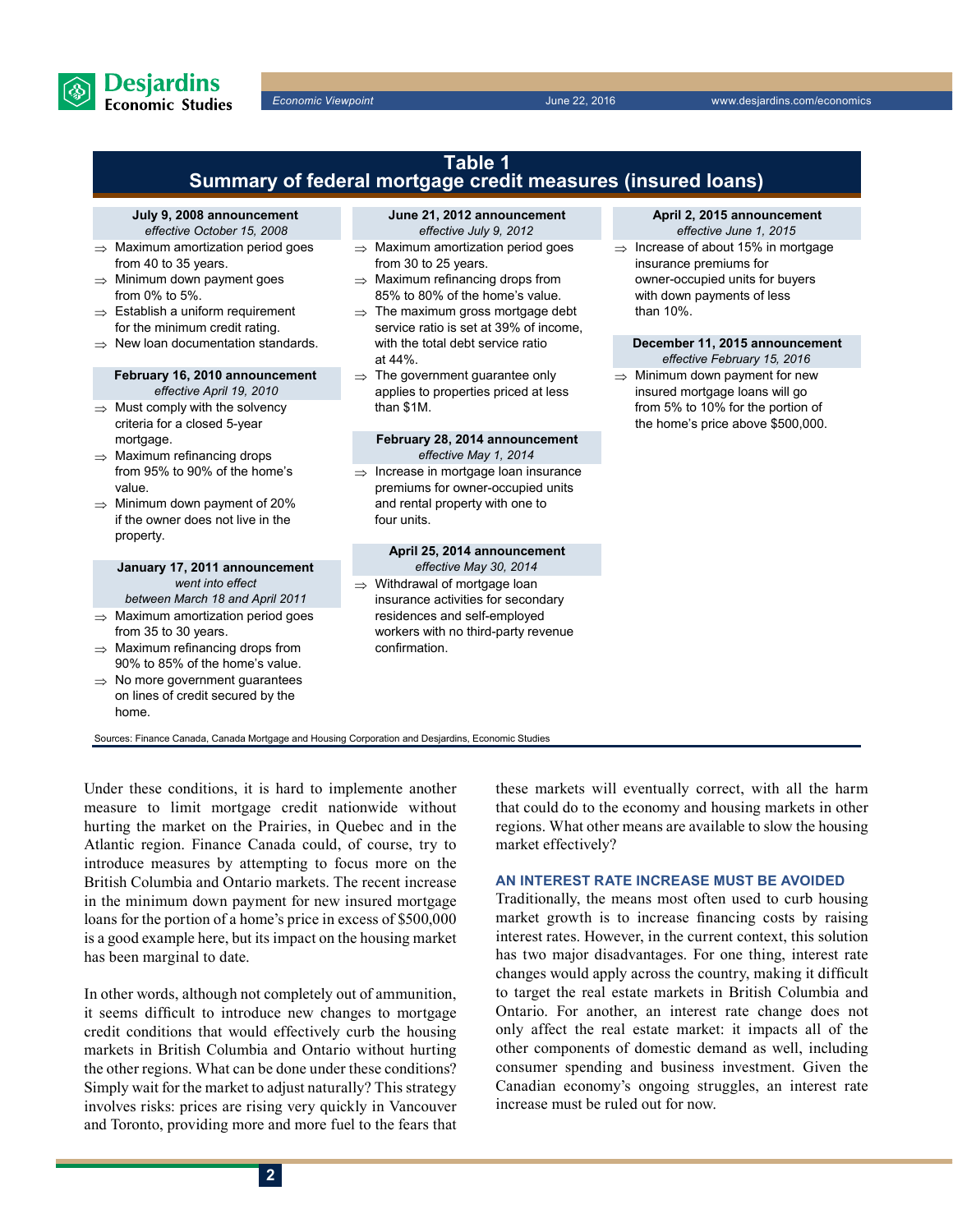

**Desjardins Economic Studies** 

*Economic Viewpoint* June 22, 2016 www.desjardins.com/economics



hurting the market on the Prairies, in Quebec and in the Atlantic region. Finance Canada could, of course, try to introduce measures by attempting to focus more on the British Columbia and Ontario markets. The recent increase in the minimum down payment for new insured mortgage loans for the portion of a home's price in excess of \$500,000 is a good example here, but its impact on the housing market has been marginal to date.

In other words, although not completely out of ammunition, it seems difficult to introduce new changes to mortgage credit conditions that would effectively curb the housing markets in British Columbia and Ontario without hurting the other regions. What can be done under these conditions? Simply wait for the market to adjust naturally? This strategy involves risks: prices are rising very quickly in Vancouver and Toronto, providing more and more fuel to the fears that that could do to the economy and housing markets in other regions. What other means are available to slow the housing market effectively?

#### **An interest rate increase must be avoided**

Traditionally, the means most often used to curb housing market growth is to increase financing costs by raising interest rates. However, in the current context, this solution has two major disadvantages. For one thing, interest rate changes would apply across the country, making it difficult to target the real estate markets in British Columbia and Ontario. For another, an interest rate change does not only affect the real estate market: it impacts all of the other components of domestic demand as well, including consumer spending and business investment. Given the Canadian economy's ongoing struggles, an interest rate increase must be ruled out for now.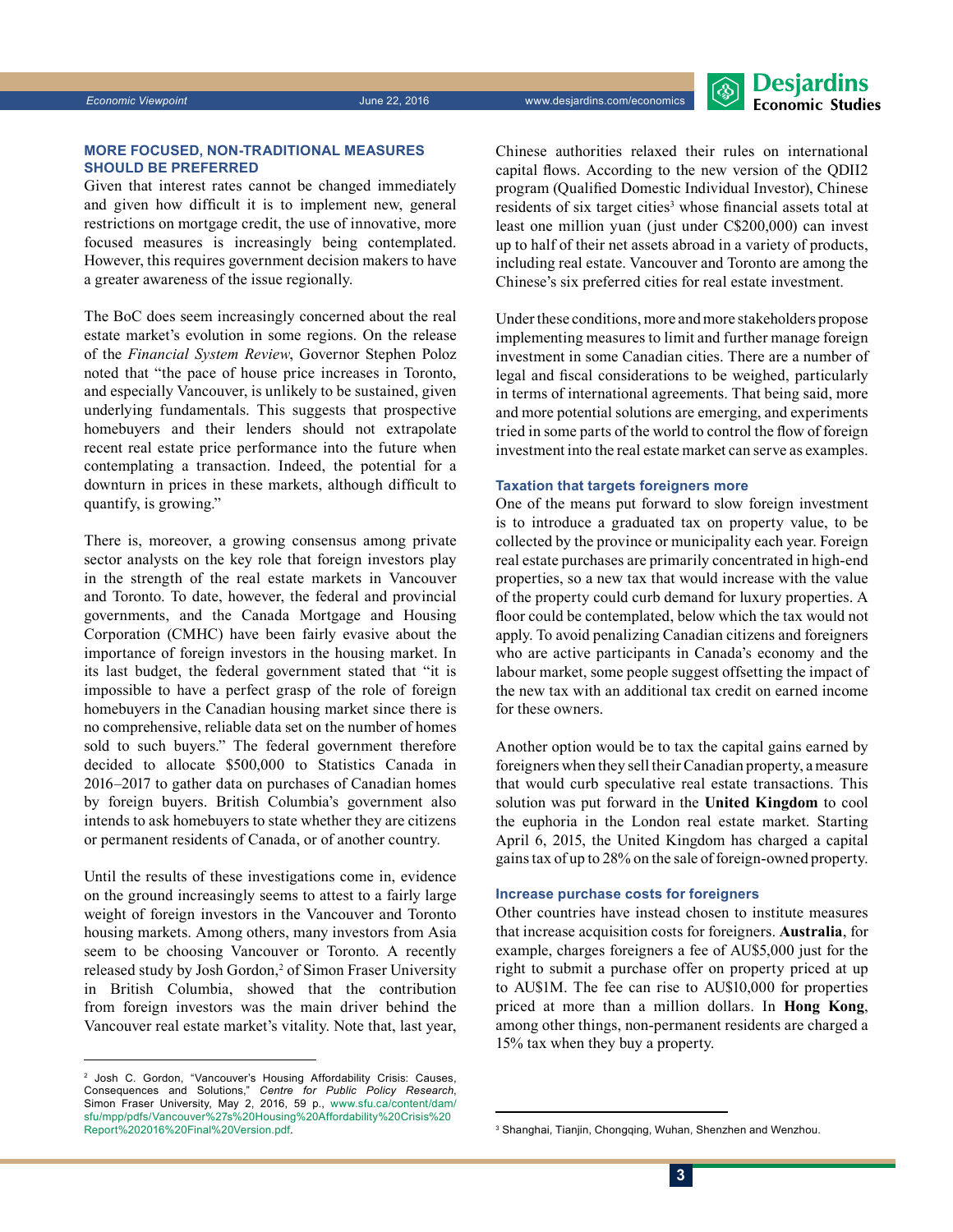#### **More focused, non-traditional measures should be preferred**

Given that interest rates cannot be changed immediately and given how difficult it is to implement new, general restrictions on mortgage credit, the use of innovative, more focused measures is increasingly being contemplated. However, this requires government decision makers to have a greater awareness of the issue regionally.

The BoC does seem increasingly concerned about the real estate market's evolution in some regions. On the release of the *Financial System Review*, Governor Stephen Poloz noted that "the pace of house price increases in Toronto, and especially Vancouver, is unlikely to be sustained, given underlying fundamentals. This suggests that prospective homebuyers and their lenders should not extrapolate recent real estate price performance into the future when contemplating a transaction. Indeed, the potential for a downturn in prices in these markets, although difficult to quantify, is growing."

There is, moreover, a growing consensus among private sector analysts on the key role that foreign investors play in the strength of the real estate markets in Vancouver and Toronto. To date, however, the federal and provincial governments, and the Canada Mortgage and Housing Corporation (CMHC) have been fairly evasive about the importance of foreign investors in the housing market. In its last budget, the federal government stated that "it is impossible to have a perfect grasp of the role of foreign homebuyers in the Canadian housing market since there is no comprehensive, reliable data set on the number of homes sold to such buyers." The federal government therefore decided to allocate \$500,000 to Statistics Canada in 2016–2017 to gather data on purchases of Canadian homes by foreign buyers. British Columbia's government also intends to ask homebuyers to state whether they are citizens or permanent residents of Canada, or of another country.

Until the results of these investigations come in, evidence on the ground increasingly seems to attest to a fairly large weight of foreign investors in the Vancouver and Toronto housing markets. Among others, many investors from Asia seem to be choosing Vancouver or Toronto. A recently released study by Josh Gordon,<sup>2</sup> of Simon Fraser University in British Columbia, showed that the contribution from foreign investors was the main driver behind the Vancouver real estate market's vitality. Note that, last year,

2 Josh C. Gordon, "Vancouver's Housing Affordability Crisis: Causes, Consequences and Solutions," *Centre for Public Policy Research*, Simon Fraser University, May 2, 2016, 59 p., [www.sfu.ca/content/dam/](http://www.sfu.ca/content/dam/sfu/mpp/pdfs/Vancouver%27s%20Housing%20Affordability%20Crisis%20Report%202016%20Final%20Version.pdf) [sfu/mpp/pdfs/Vancouver%27s%20Housing%20Affordability%20Crisis%20](http://www.sfu.ca/content/dam/sfu/mpp/pdfs/Vancouver%27s%20Housing%20Affordability%20Crisis%20Report%202016%20Final%20Version.pdf) [Report%202016%20Final%20Version.pdf](http://www.sfu.ca/content/dam/sfu/mpp/pdfs/Vancouver%27s%20Housing%20Affordability%20Crisis%20Report%202016%20Final%20Version.pdf). <sup>3</sup>

Chinese authorities relaxed their rules on international capital flows. According to the new version of the QDII2 program (Qualified Domestic Individual Investor), Chinese residents of six target cities<sup>3</sup> whose financial assets total at least one million yuan (just under C\$200,000) can invest up to half of their net assets abroad in a variety of products, including real estate. Vancouver and Toronto are among the Chinese's six preferred cities for real estate investment.

Under these conditions, more and more stakeholders propose implementing measures to limit and further manage foreign investment in some Canadian cities. There are a number of legal and fiscal considerations to be weighed, particularly in terms of international agreements. That being said, more and more potential solutions are emerging, and experiments tried in some parts of the world to control the flow of foreign investment into the real estate market can serve as examples.

#### **Taxation that targets foreigners more**

One of the means put forward to slow foreign investment is to introduce a graduated tax on property value, to be collected by the province or municipality each year. Foreign real estate purchases are primarily concentrated in high-end properties, so a new tax that would increase with the value of the property could curb demand for luxury properties. A floor could be contemplated, below which the tax would not apply. To avoid penalizing Canadian citizens and foreigners who are active participants in Canada's economy and the labour market, some people suggest offsetting the impact of the new tax with an additional tax credit on earned income for these owners.

Another option would be to tax the capital gains earned by foreigners when they sell their Canadian property, a measure that would curb speculative real estate transactions. This solution was put forward in the **United Kingdom** to cool the euphoria in the London real estate market. Starting April 6, 2015, the United Kingdom has charged a capital gains tax of up to 28% on the sale of foreign-owned property.

#### **Increase purchase costs for foreigners**

Other countries have instead chosen to institute measures that increase acquisition costs for foreigners. **Australia**, for example, charges foreigners a fee of AU\$5,000 just for the right to submit a purchase offer on property priced at up to AU\$1M. The fee can rise to AU\$10,000 for properties priced at more than a million dollars. In **Hong Kong**, among other things, non-permanent residents are charged a 15% tax when they buy a property.

<sup>&</sup>lt;sup>3</sup> Shanghai, Tianjin, Chongqing, Wuhan, Shenzhen and Wenzhou.